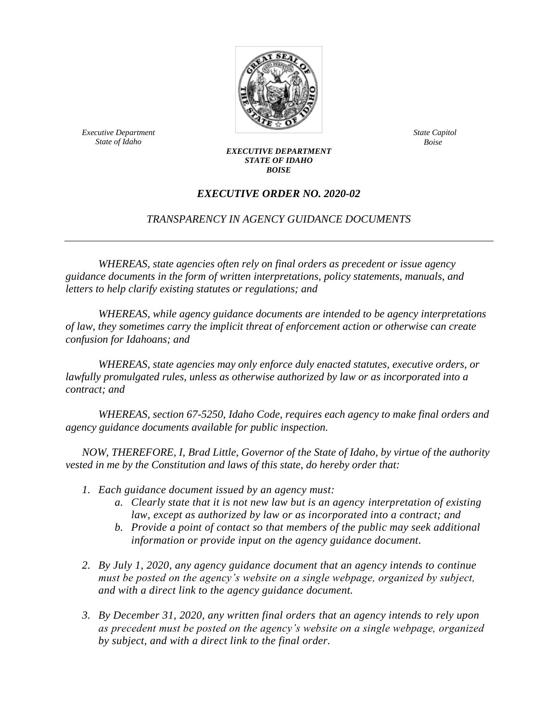

*Executive Department State of Idaho*

*State Capitol Boise*

## *EXECUTIVE DEPARTMENT STATE OF IDAHO BOISE*

## *EXECUTIVE ORDER NO. 2020-02*

## *TRANSPARENCY IN AGENCY GUIDANCE DOCUMENTS*

*WHEREAS, state agencies often rely on final orders as precedent or issue agency guidance documents in the form of written interpretations, policy statements, manuals, and letters to help clarify existing statutes or regulations; and*

*WHEREAS, while agency guidance documents are intended to be agency interpretations of law, they sometimes carry the implicit threat of enforcement action or otherwise can create confusion for Idahoans; and*

*WHEREAS, state agencies may only enforce duly enacted statutes, executive orders, or lawfully promulgated rules, unless as otherwise authorized by law or as incorporated into a contract; and*

*WHEREAS, section 67-5250, Idaho Code, requires each agency to make final orders and agency guidance documents available for public inspection.*

*NOW, THEREFORE, I, Brad Little, Governor of the State of Idaho, by virtue of the authority vested in me by the Constitution and laws of this state, do hereby order that:* 

- *1. Each guidance document issued by an agency must:*
	- *a. Clearly state that it is not new law but is an agency interpretation of existing law, except as authorized by law or as incorporated into a contract; and*
	- *b. Provide a point of contact so that members of the public may seek additional information or provide input on the agency guidance document.*
- *2. By July 1, 2020, any agency guidance document that an agency intends to continue must be posted on the agency's website on a single webpage, organized by subject, and with a direct link to the agency guidance document.*
- *3. By December 31, 2020, any written final orders that an agency intends to rely upon as precedent must be posted on the agency's website on a single webpage, organized by subject, and with a direct link to the final order.*